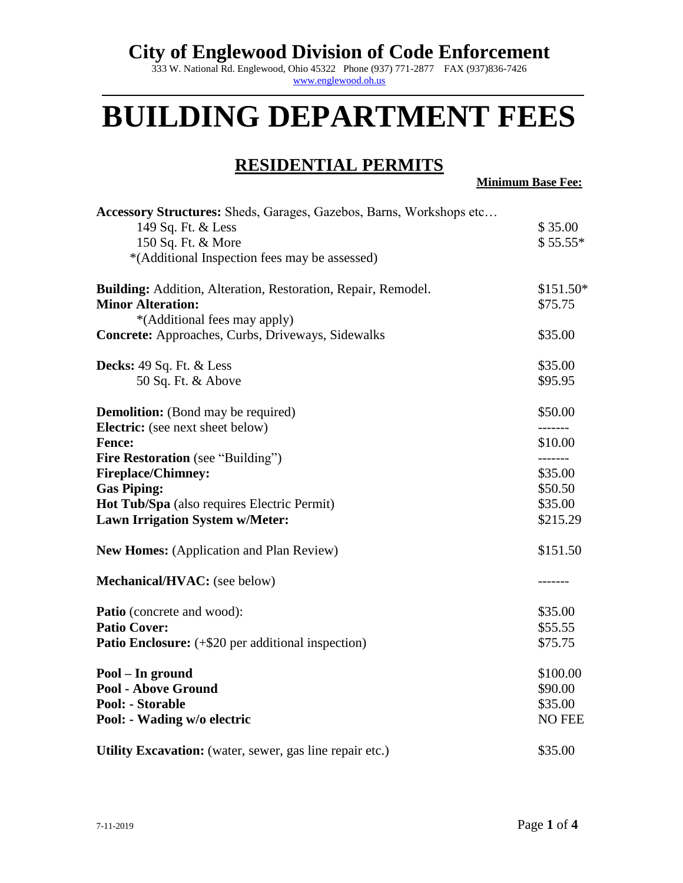333 W. National Rd. Englewood, Ohio 45322 Phone (937) 771-2877 FAX (937)836-7426 [www.englewood.oh.us](http://www.englewood.oh.us/)

# **BUILDING DEPARTMENT FEES**

#### **RESIDENTIAL PERMITS**

**Minimum Base Fee:**

| Accessory Structures: Sheds, Garages, Gazebos, Barns, Workshops etc  |            |
|----------------------------------------------------------------------|------------|
| 149 Sq. Ft. & Less                                                   | \$35.00    |
| 150 Sq. Ft. & More                                                   | $$55.55*$  |
| *(Additional Inspection fees may be assessed)                        |            |
| <b>Building:</b> Addition, Alteration, Restoration, Repair, Remodel. | $$151.50*$ |
| <b>Minor Alteration:</b>                                             | \$75.75    |
| *(Additional fees may apply)                                         |            |
| Concrete: Approaches, Curbs, Driveways, Sidewalks                    | \$35.00    |
| Decks: 49 Sq. Ft. & Less                                             | \$35.00    |
| 50 Sq. Ft. & Above                                                   | \$95.95    |
| <b>Demolition:</b> (Bond may be required)                            | \$50.00    |
| <b>Electric:</b> (see next sheet below)                              | -------    |
| <b>Fence:</b>                                                        | \$10.00    |
| <b>Fire Restoration</b> (see "Building")                             | -------    |
| <b>Fireplace/Chimney:</b>                                            | \$35.00    |
| <b>Gas Piping:</b>                                                   | \$50.50    |
| Hot Tub/Spa (also requires Electric Permit)                          | \$35.00    |
| <b>Lawn Irrigation System w/Meter:</b>                               | \$215.29   |
| <b>New Homes:</b> (Application and Plan Review)                      | \$151.50   |
| Mechanical/HVAC: (see below)                                         | -------    |
| <b>Patio</b> (concrete and wood):                                    | \$35.00    |
| <b>Patio Cover:</b>                                                  | \$55.55    |
| <b>Patio Enclosure:</b> (+\$20 per additional inspection)            | \$75.75    |
| Pool - In ground                                                     | \$100.00   |
| <b>Pool - Above Ground</b>                                           | \$90.00    |
| <b>Pool: - Storable</b>                                              | \$35.00    |
| Pool: - Wading w/o electric                                          | NO FEE     |
| Utility Excavation: (water, sewer, gas line repair etc.)             | \$35.00    |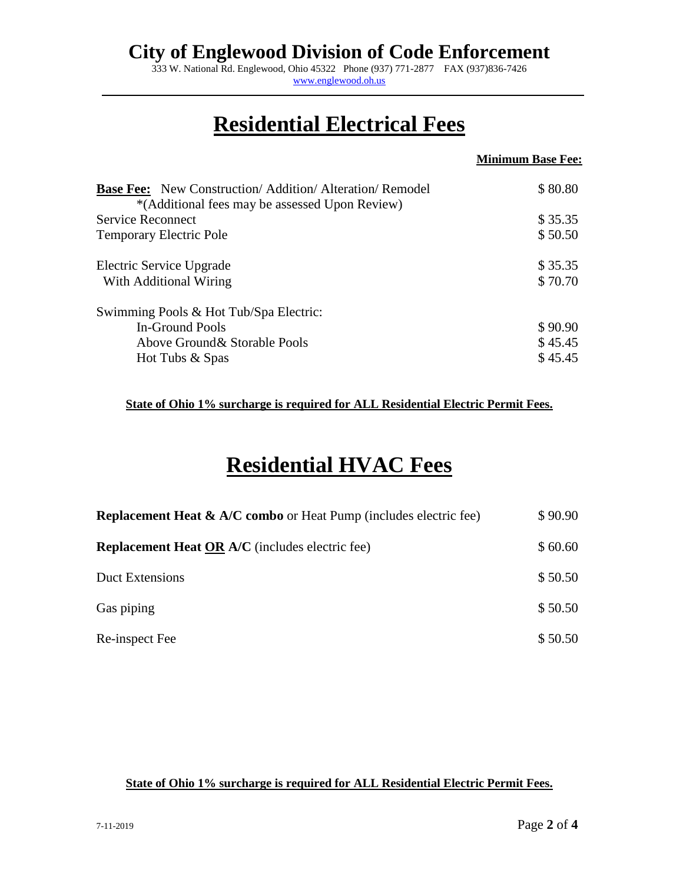333 W. National Rd. Englewood, Ohio 45322 Phone (937) 771-2877 FAX (937)836-7426 [www.englewood.oh.us](http://www.englewood.oh.us/)

## **Residential Electrical Fees**

|                                                                                                                 | <b>Minimum Base Fee:</b> |
|-----------------------------------------------------------------------------------------------------------------|--------------------------|
| <b>Base Fee:</b> New Construction/Addition/Alteration/Remodel<br>*(Additional fees may be assessed Upon Review) | \$80.80                  |
| <b>Service Reconnect</b>                                                                                        | \$35.35                  |
| Temporary Electric Pole                                                                                         | \$50.50                  |
| Electric Service Upgrade                                                                                        | \$35.35                  |
| With Additional Wiring                                                                                          | \$70.70                  |
| Swimming Pools & Hot Tub/Spa Electric:                                                                          |                          |
| In-Ground Pools                                                                                                 | \$90.90                  |
| Above Ground & Storable Pools                                                                                   | \$45.45                  |
| Hot Tubs & Spas                                                                                                 | \$45.45                  |

**State of Ohio 1% surcharge is required for ALL Residential Electric Permit Fees.**

## **Residential HVAC Fees**

| <b>Replacement Heat &amp; A/C combo</b> or Heat Pump (includes electric fee) | \$90.90 |
|------------------------------------------------------------------------------|---------|
| <b>Replacement Heat OR A/C</b> (includes electric fee)                       | \$60.60 |
| <b>Duct Extensions</b>                                                       | \$50.50 |
| Gas piping                                                                   | \$50.50 |
| Re-inspect Fee                                                               | \$50.50 |

#### **State of Ohio 1% surcharge is required for ALL Residential Electric Permit Fees.**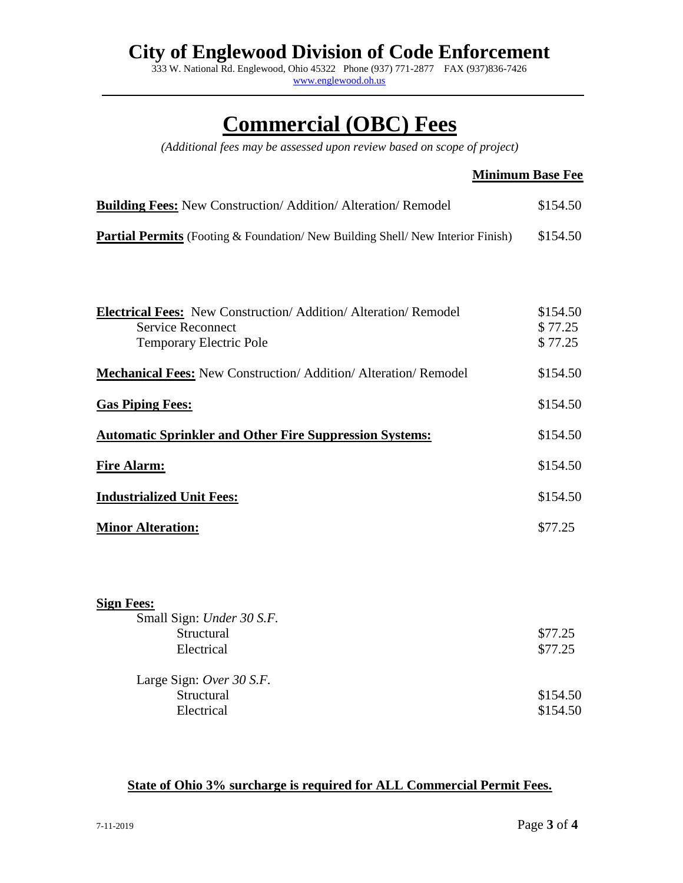333 W. National Rd. Englewood, Ohio 45322 Phone (937) 771-2877 FAX (937)836-7426 [www.englewood.oh.us](http://www.englewood.oh.us/)

## **Commercial (OBC) Fees**

*(Additional fees may be assessed upon review based on scope of project)*

#### **Minimum Base Fee**

| <b>Building Fees:</b> New Construction/Addition/Alteration/Remodel                   | \$154.50 |
|--------------------------------------------------------------------------------------|----------|
| <b>Partial Permits</b> (Footing & Foundation/New Building Shell/New Interior Finish) | \$154.50 |

| <b>Electrical Fees:</b> New Construction/ Addition/ Alteration/ Remodel<br><b>Service Reconnect</b><br><b>Temporary Electric Pole</b> | \$154.50<br>\$77.25<br>\$77.25 |
|---------------------------------------------------------------------------------------------------------------------------------------|--------------------------------|
| <b>Mechanical Fees: New Construction/ Addition/ Alteration/ Remodel</b>                                                               | \$154.50                       |
| <b>Gas Piping Fees:</b>                                                                                                               | \$154.50                       |
| <b>Automatic Sprinkler and Other Fire Suppression Systems:</b>                                                                        | \$154.50                       |
| <b>Fire Alarm:</b>                                                                                                                    | \$154.50                       |
| <b>Industrialized Unit Fees:</b>                                                                                                      | \$154.50                       |
| <b>Minor Alteration:</b>                                                                                                              | \$77.25                        |
| <b>Sign Fees:</b><br>Small Sign: Under 30 S.F.<br>Structural                                                                          | \$77.25                        |
| Electrical                                                                                                                            | \$77.25                        |

Large Sign: *Over 30 S.F.* Structural \$154.50

Electrical \$154.50

#### **State of Ohio 3% surcharge is required for ALL Commercial Permit Fees.**